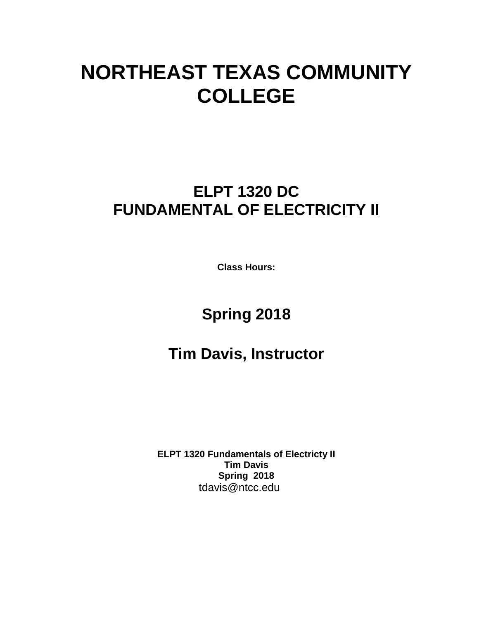# **NORTHEAST TEXAS COMMUNITY COLLEGE**

## **ELPT 1320 DC FUNDAMENTAL OF ELECTRICITY II**

**Class Hours:** 

## **Spring 2018**

## **Tim Davis, Instructor**

**ELPT 1320 Fundamentals of Electricty II Tim Davis Spring 2018** tdavis@ntcc.edu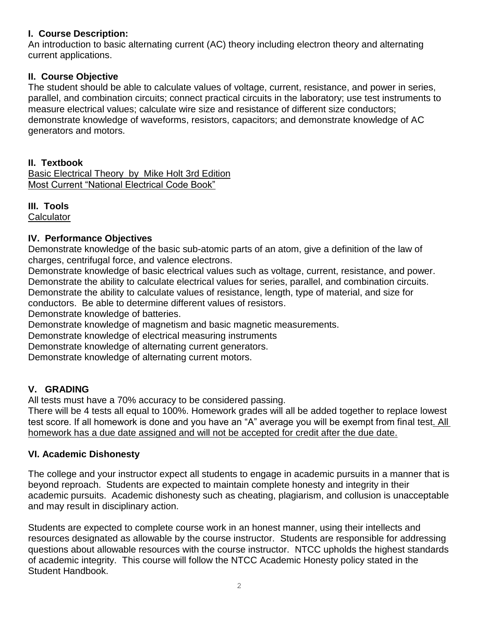#### **I. Course Description:**

An introduction to basic alternating current (AC) theory including electron theory and alternating current applications.

### **II. Course Objective**

The student should be able to calculate values of voltage, current, resistance, and power in series, parallel, and combination circuits; connect practical circuits in the laboratory; use test instruments to measure electrical values; calculate wire size and resistance of different size conductors; demonstrate knowledge of waveforms, resistors, capacitors; and demonstrate knowledge of AC generators and motors.

#### **II. Textbook**

Basic Electrical Theory by Mike Holt 3rd Edition Most Current "National Electrical Code Book"

### **III. Tools**

**Calculator** 

### **IV. Performance Objectives**

Demonstrate knowledge of the basic sub-atomic parts of an atom, give a definition of the law of charges, centrifugal force, and valence electrons.

Demonstrate knowledge of basic electrical values such as voltage, current, resistance, and power. Demonstrate the ability to calculate electrical values for series, parallel, and combination circuits. Demonstrate the ability to calculate values of resistance, length, type of material, and size for conductors. Be able to determine different values of resistors.

Demonstrate knowledge of batteries.

Demonstrate knowledge of magnetism and basic magnetic measurements.

Demonstrate knowledge of electrical measuring instruments

Demonstrate knowledge of alternating current generators.

Demonstrate knowledge of alternating current motors.

### **V. GRADING**

All tests must have a 70% accuracy to be considered passing.

There will be 4 tests all equal to 100%. Homework grades will all be added together to replace lowest test score. If all homework is done and you have an "A" average you will be exempt from final test. All homework has a due date assigned and will not be accepted for credit after the due date.

### **VI. Academic Dishonesty**

The college and your instructor expect all students to engage in academic pursuits in a manner that is beyond reproach. Students are expected to maintain complete honesty and integrity in their academic pursuits. Academic dishonesty such as cheating, plagiarism, and collusion is unacceptable and may result in disciplinary action.

Students are expected to complete course work in an honest manner, using their intellects and resources designated as allowable by the course instructor. Students are responsible for addressing questions about allowable resources with the course instructor. NTCC upholds the highest standards of academic integrity. This course will follow the NTCC Academic Honesty policy stated in the Student Handbook.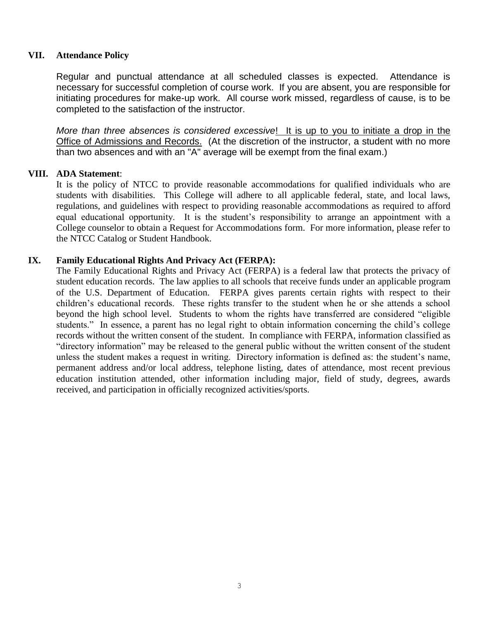#### **VII. Attendance Policy**

Regular and punctual attendance at all scheduled classes is expected. Attendance is necessary for successful completion of course work. If you are absent, you are responsible for initiating procedures for make-up work. All course work missed, regardless of cause, is to be completed to the satisfaction of the instructor.

*More than three absences is considered excessive*! It is up to you to initiate a drop in the Office of Admissions and Records. (At the discretion of the instructor, a student with no more than two absences and with an "A" average will be exempt from the final exam.)

#### **VIII. ADA Statement**:

It is the policy of NTCC to provide reasonable accommodations for qualified individuals who are students with disabilities. This College will adhere to all applicable federal, state, and local laws, regulations, and guidelines with respect to providing reasonable accommodations as required to afford equal educational opportunity. It is the student's responsibility to arrange an appointment with a College counselor to obtain a Request for Accommodations form. For more information, please refer to the NTCC Catalog or Student Handbook.

#### **IX. Family Educational Rights And Privacy Act (FERPA):**

The Family Educational Rights and Privacy Act (FERPA) is a federal law that protects the privacy of student education records. The law applies to all schools that receive funds under an applicable program of the U.S. Department of Education. FERPA gives parents certain rights with respect to their children's educational records. These rights transfer to the student when he or she attends a school beyond the high school level. Students to whom the rights have transferred are considered "eligible students." In essence, a parent has no legal right to obtain information concerning the child's college records without the written consent of the student. In compliance with FERPA, information classified as "directory information" may be released to the general public without the written consent of the student unless the student makes a request in writing. Directory information is defined as: the student's name, permanent address and/or local address, telephone listing, dates of attendance, most recent previous education institution attended, other information including major, field of study, degrees, awards received, and participation in officially recognized activities/sports.